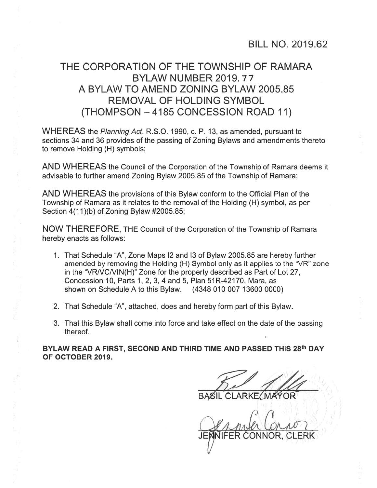## THE CORPORATION OF THE TOWNSHIP OF RAMARA BYLAW NUMBER 2019.77 A BYLAW TO AMEND ZONING BYLAW 2005.85 REMOVAL OF HOLDING SYMBOL (THOMPSON —4185 CONCESSION ROAD 11)

WHEREAS the Planning Act, R.S.O. 1990, c. P. 13, as amended, pursuant to sections 34 and 36 provides of the passing of Zoning Bylaws and amendments thereto to remove Holding (H) symbols;

AND WHEREAS the Council of the Corporation of the Township of Ramara deems it advisable to further amend Zoning Bylaw 2005.85 of the Township of Ramara;

AND WHEREAS the provisions of this Bylaw conform to the Official Plan of the Township of Ramara as it relates to the removal of the Holding (H) symbol, as per Section 4(11)(b) of Zoning Bylaw #2005.85;

NOW THEREFORE, THE Council of the Corporation of the Township of Ramara hereby enacts as follows:

- 1. That Schedule "A", Zone Maps I2 and I3 of Bylaw 2005.85 are hereby further amended by removing the Holding (H) Symbol only as it applies to the "VR" zone in the "VR/VCNIN(H)" Zone for the property described as Part of Lot 27, Concession 10, Parts 1, 2, 3, 4 and 5, Plan 51R-42170, Mara, as shown on Schedule A to this Bylaw. (4348 010 007 13600 0000)
- 2. That Schedule "A", attached, does and hereby form par<sup>t</sup> of this Bylaw.
- 3. That this Bylaw shall come into force and take effect on the date of the passing thereof.

BYLAW READ A FIRST, SECOND AND THIRD TIME AND PASSED THIS 28th DAY OF OCTOBER 2019.

BASIL CLARKE (MAYOR) DE SE

JENNIFER CONNOR, CLERK '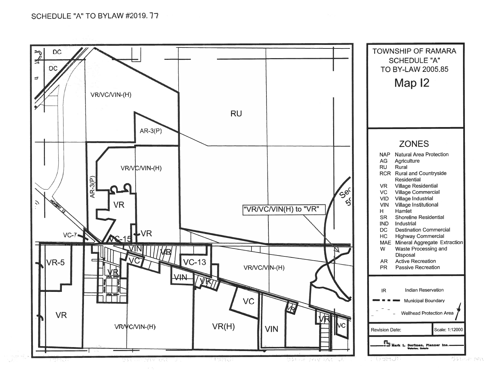